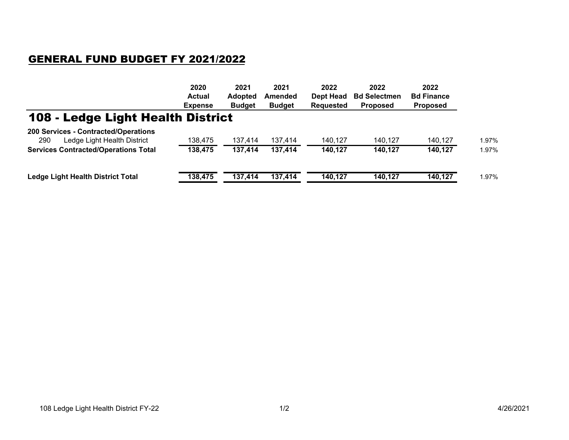## GENERAL FUND BUDGET FY 2021/2022

| <b>Bd Finance</b><br><b>Bd Selectmen</b><br><b>Proposed</b><br><b>Proposed</b> |                                          |
|--------------------------------------------------------------------------------|------------------------------------------|
|                                                                                |                                          |
|                                                                                |                                          |
| 140,127                                                                        | 1.97%                                    |
| 140,127                                                                        | 1.97%                                    |
|                                                                                | 1.97%                                    |
|                                                                                | 140.127<br>140,127<br>140,127<br>140,127 |